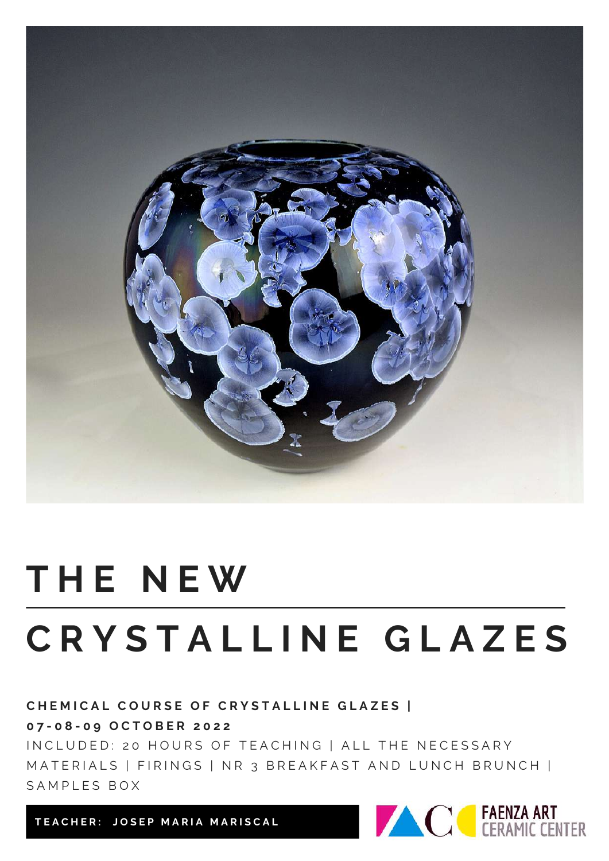

# **T H E N E W C R Y S T A L L I N E G L A Z E S**

CHEMICAL COURSE OF CRYSTALLINE GLAZES | **0 7 - 0 8 - 0 9 O C T O B E R 2 0 2 2**

IN CLUDED: 20 HOURS OF TEACHING | ALL THE NECESSARY MATERIALS | FIRINGS | NR 3 BREAKFAST AND LUNCH BRUNCH | SAMPLES BOX

TEACHER: JOSEP MARIA MARISCAL

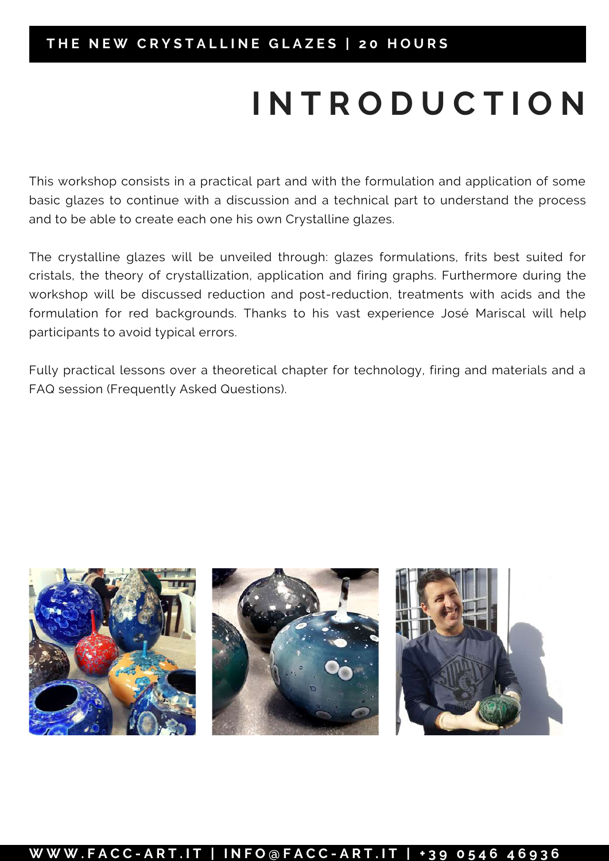## **I N T R O D U C T I O N**

This workshop consists in a practical part and with the formulation and application of some basic glazes to continue with a discussion and a technical part to understand the process and to be able to create each one his own Crystalline glazes.

The crystalline glazes will be unveiled through: glazes formulations, frits best suited for cristals, the theory of crystallization, application and firing graphs. Furthermore during the workshop will be discussed reduction and post-reduction, treatments with acids and the formulation for red backgrounds. Thanks to his vast experience José Mariscal will help participants to avoid typical errors.

Fully practical lessons over a theoretical chapter for technology, firing and materials and a FAQ session (Frequently Asked Questions).